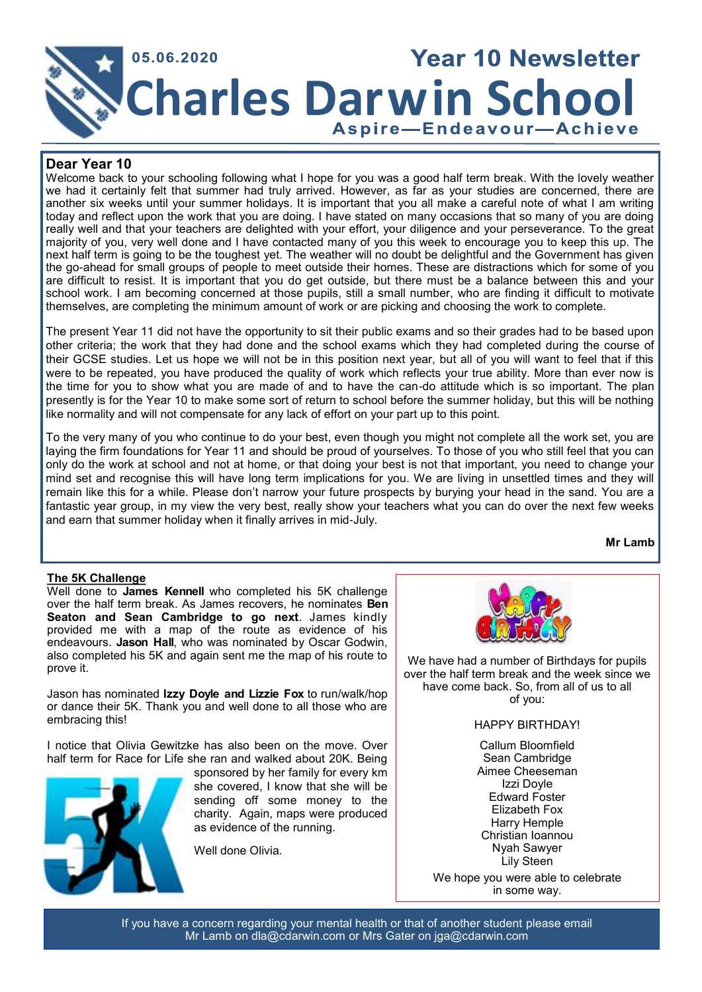

# **Dear Year 10**

Welcome back to your schooling following what I hope for you was a good half term break. With the lovely weather we had it certainly felt that summer had truly arrived. However, as far as your studies are concerned, there are another six weeks until your summer holidays. It is important that you all make a careful note of what I am writing today and reflect upon the work that you are doing. I have stated on many occasions that so many of you are doing really well and that your teachers are delighted with your effort, your diligence and your perseverance. To the great majority of you, very well done and I have contacted many of you this week to encourage you to keep this up. The next half term is going to be the toughest yet. The weather will no doubt be delightful and the Government has given the go-ahead for small groups of people to meet outside their homes. These are distractions which for some of you are difficult to resist. It is important that you do get outside, but there must be a balance between this and your school work. I am becoming concerned at those pupils, still a small number, who are finding it difficult to motivate themselves, are completing the minimum amount of work or are picking and choosing the work to complete.

The present Year 11 did not have the opportunity to sit their public exams and so their grades had to be based upon other criteria; the work that they had done and the school exams which they had completed during the course of their GCSE studies. Let us hope we will not be in this position next year, but all of you will want to feel that if this were to be repeated, you have produced the quality of work which reflects your true ability. More than ever now is the time for you to show what you are made of and to have the can-do attitude which is so important. The plan presently is for the Year 10 to make some sort of return to school before the summer holiday, but this will be nothing like normality and will not compensate for any lack of effort on your part up to this point.

To the very many of you who continue to do your best, even though you might not complete all the work set, you are laying the firm foundations for Year 11 and should be proud of yourselves. To those of you who still feel that you can only do the work at school and not at home, or that doing your best is not that important, you need to change your mind set and recognise this will have long term implications for you. We are living in unsettled times and they will remain like this for a while. Please don't narrow your future prospects by burying your head in the sand. You are a fantastic year group, in my view the very best, really show your teachers what you can do over the next few weeks and earn that summer holiday when it finally arrives in mid-July.

**Mr Lamb**

# **The 5K Challenge**

Well done to **James Kennell** who completed his 5K challenge over the half term break. As James recovers, he nominates **Ben Seaton and Sean Cambridge to go next**. James kindly provided me with a map of the route as evidence of his endeavours. **Jason Hall**, who was nominated by Oscar Godwin, also completed his 5K and again sent me the map of his route to prove it.

Jason has nominated **Izzy Doyle and Lizzie Fox** to run/walk/hop or dance their 5K. Thank you and well done to all those who are embracing this!

I notice that Olivia Gewitzke has also been on the move. Over half term for Race for Life she ran and walked about 20K. Being



sponsored by her family for every km she covered, I know that she will be sending off some money to the charity. Again, maps were produced as evidence of the running.

Well done Olivia.



We have had a number of Birthdays for pupils over the half term break and the week since we have come back. So, from all of us to all of you:

#### HAPPY BIRTHDAY!

Callum Bloomfield Sean Cambridge Aimee Cheeseman Izzi Doyle Edward Foster Elizabeth Fox Harry Hemple Christian Ioannou Nyah Sawyer Lily Steen

We hope you were able to celebrate in some way.

If you have a concern regarding your mental health or that of another student please email Mr Lamb on dla@cdarwin.com or Mrs Gater on jga@cdarwin.com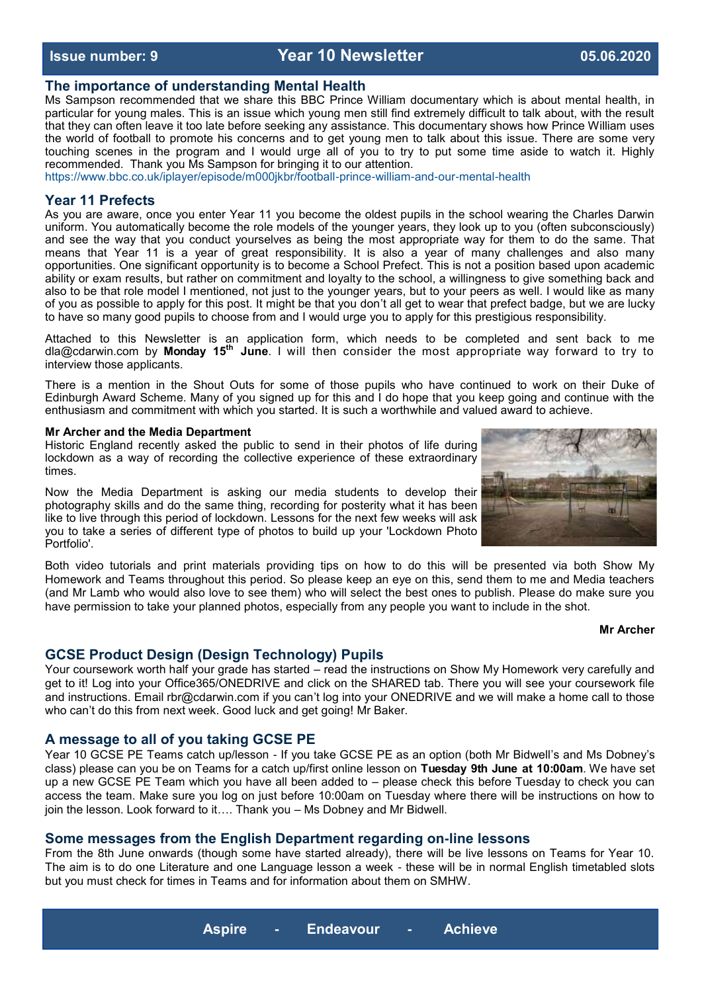# **Issue number: 9 Year 10 Newsletter 05.06.2020**

# **The importance of understanding Mental Health**

Ms Sampson recommended that we share this BBC Prince William documentary which is about mental health, in particular for young males. This is an issue which young men still find extremely difficult to talk about, with the result that they can often leave it too late before seeking any assistance. This documentary shows how Prince William uses the world of football to promote his concerns and to get young men to talk about this issue. There are some very touching scenes in the program and I would urge all of you to try to put some time aside to watch it. Highly recommended. Thank you Ms Sampson for bringing it to our attention.

<https://www.bbc.co.uk/iplayer/episode/m000jkbr/football-prince-william-and-our-mental-health>

# **Year 11 Prefects**

As you are aware, once you enter Year 11 you become the oldest pupils in the school wearing the Charles Darwin uniform. You automatically become the role models of the younger years, they look up to you (often subconsciously) and see the way that you conduct yourselves as being the most appropriate way for them to do the same. That means that Year 11 is a year of great responsibility. It is also a year of many challenges and also many opportunities. One significant opportunity is to become a School Prefect. This is not a position based upon academic ability or exam results, but rather on commitment and loyalty to the school, a willingness to give something back and also to be that role model I mentioned, not just to the younger years, but to your peers as well. I would like as many of you as possible to apply for this post. It might be that you don't all get to wear that prefect badge, but we are lucky to have so many good pupils to choose from and I would urge you to apply for this prestigious responsibility.

Attached to this Newsletter is an application form, which needs to be completed and sent back to me [dla@cdarwin.com](mailto:dla@cdarwin.com) by **Monday 15th June**. I will then consider the most appropriate way forward to try to interview those applicants.

There is a mention in the Shout Outs for some of those pupils who have continued to work on their Duke of Edinburgh Award Scheme. Many of you signed up for this and I do hope that you keep going and continue with the enthusiasm and commitment with which you started. It is such a worthwhile and valued award to achieve.

#### **Mr Archer and the Media Department**

Historic England recently asked the public to send in their photos of life during lockdown as a way of recording the collective experience of these extraordinary times.

Now the Media Department is asking our media students to develop their photography skills and do the same thing, recording for posterity what it has been like to live through this period of lockdown. Lessons for the next few weeks will ask you to take a series of different type of photos to build up your 'Lockdown Photo Portfolio'.

Both video tutorials and print materials providing tips on how to do this will be presented via both Show My Homework and Teams throughout this period. So please keep an eye on this, send them to me and Media teachers (and Mr Lamb who would also love to see them) who will select the best ones to publish. Please do make sure you have permission to take your planned photos, especially from any people you want to include in the shot.

#### **Mr Archer**

# **GCSE Product Design (Design Technology) Pupils**

Your coursework worth half your grade has started – read the instructions on Show My Homework very carefully and get to it! Log into your Office365/ONEDRIVE and click on the SHARED tab. There you will see your coursework file and instructions. Email rbr@cdarwin.com if you can't log into your ONEDRIVE and we will make a home call to those who can't do this from next week. Good luck and get going! Mr Baker.

### **A message to all of you taking GCSE PE**

Year 10 GCSE PE Teams catch up/lesson - If you take GCSE PE as an option (both Mr Bidwell's and Ms Dobney's class) please can you be on Teams for a catch up/first online lesson on **Tuesday 9th June at 10:00am**. We have set up a new GCSE PE Team which you have all been added to – please check this before Tuesday to check you can access the team. Make sure you log on just before 10:00am on Tuesday where there will be instructions on how to join the lesson. Look forward to it…. Thank you – Ms Dobney and Mr Bidwell.

#### **Some messages from the English Department regarding on-line lessons**

From the 8th June onwards (though some have started already), there will be live lessons on Teams for Year 10. The aim is to do one Literature and one Language lesson a week - these will be in normal English timetabled slots but you must check for times in Teams and for information about them on SMHW.



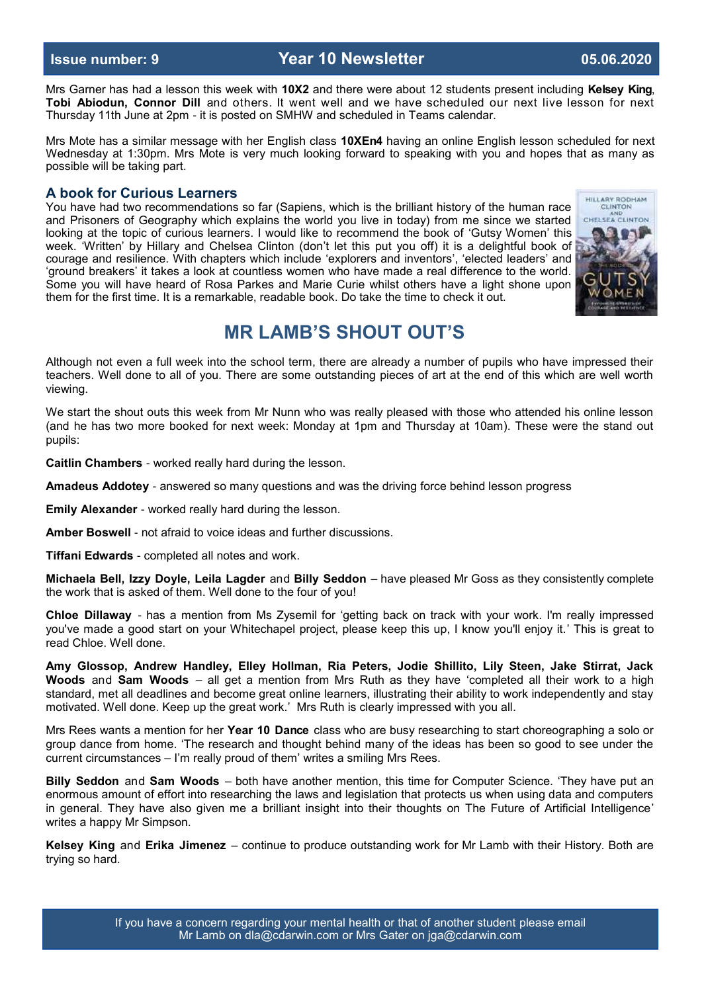**Issue number: 9 Year 10 Newsletter 05.06.2020**

Mrs Garner has had a lesson this week with **10X2** and there were about 12 students present including **Kelsey King**, **Tobi Abiodun, Connor Dill** and others. It went well and we have scheduled our next live lesson for next Thursday 11th June at 2pm - it is posted on SMHW and scheduled in Teams calendar.

Mrs Mote has a similar message with her English class **10XEn4** having an online English lesson scheduled for next Wednesday at 1:30pm. Mrs Mote is very much looking forward to speaking with you and hopes that as many as possible will be taking part.

### **A book for Curious Learners**

You have had two recommendations so far (Sapiens, which is the brilliant history of the human race and Prisoners of Geography which explains the world you live in today) from me since we started looking at the topic of curious learners. I would like to recommend the book of 'Gutsy Women' this week. 'Written' by Hillary and Chelsea Clinton (don't let this put you off) it is a delightful book of courage and resilience. With chapters which include 'explorers and inventors', 'elected leaders' and 'ground breakers' it takes a look at countless women who have made a real difference to the world. Some you will have heard of Rosa Parkes and Marie Curie whilst others have a light shone upon them for the first time. It is a remarkable, readable book. Do take the time to check it out.



# **MR LAMB'S SHOUT OUT'S**

Although not even a full week into the school term, there are already a number of pupils who have impressed their teachers. Well done to all of you. There are some outstanding pieces of art at the end of this which are well worth viewing.

We start the shout outs this week from Mr Nunn who was really pleased with those who attended his online lesson (and he has two more booked for next week: Monday at 1pm and Thursday at 10am). These were the stand out pupils:

**Caitlin Chambers** - worked really hard during the lesson.

**Amadeus Addotey** - answered so many questions and was the driving force behind lesson progress

**Emily Alexander** - worked really hard during the lesson.

**Amber Boswell** - not afraid to voice ideas and further discussions.

**Tiffani Edwards** - completed all notes and work.

**Michaela Bell, Izzy Doyle, Leila Lagder** and **Billy Seddon** – have pleased Mr Goss as they consistently complete the work that is asked of them. Well done to the four of you!

**Chloe Dillaway** - has a mention from Ms Zysemil for 'getting back on track with your work. I'm really impressed you've made a good start on your Whitechapel project, please keep this up, I know you'll enjoy it.' This is great to read Chloe. Well done.

**Amy Glossop, Andrew Handley, Elley Hollman, Ria Peters, Jodie Shillito, Lily Steen, Jake Stirrat, Jack Woods** and **Sam Woods** – all get a mention from Mrs Ruth as they have 'completed all their work to a high standard, met all deadlines and become great online learners, illustrating their ability to work independently and stay motivated. Well done. Keep up the great work.' Mrs Ruth is clearly impressed with you all.

Mrs Rees wants a mention for her **Year 10 Dance** class who are busy researching to start choreographing a solo or group dance from home. 'The research and thought behind many of the ideas has been so good to see under the current circumstances – I'm really proud of them' writes a smiling Mrs Rees.

**Billy Seddon** and **Sam Woods** – both have another mention, this time for Computer Science. 'They have put an enormous amount of effort into researching the laws and legislation that protects us when using data and computers in general. They have also given me a brilliant insight into their thoughts on The Future of Artificial Intelligence' writes a happy Mr Simpson.

**Kelsey King** and **Erika Jimenez** – continue to produce outstanding work for Mr Lamb with their History. Both are trying so hard.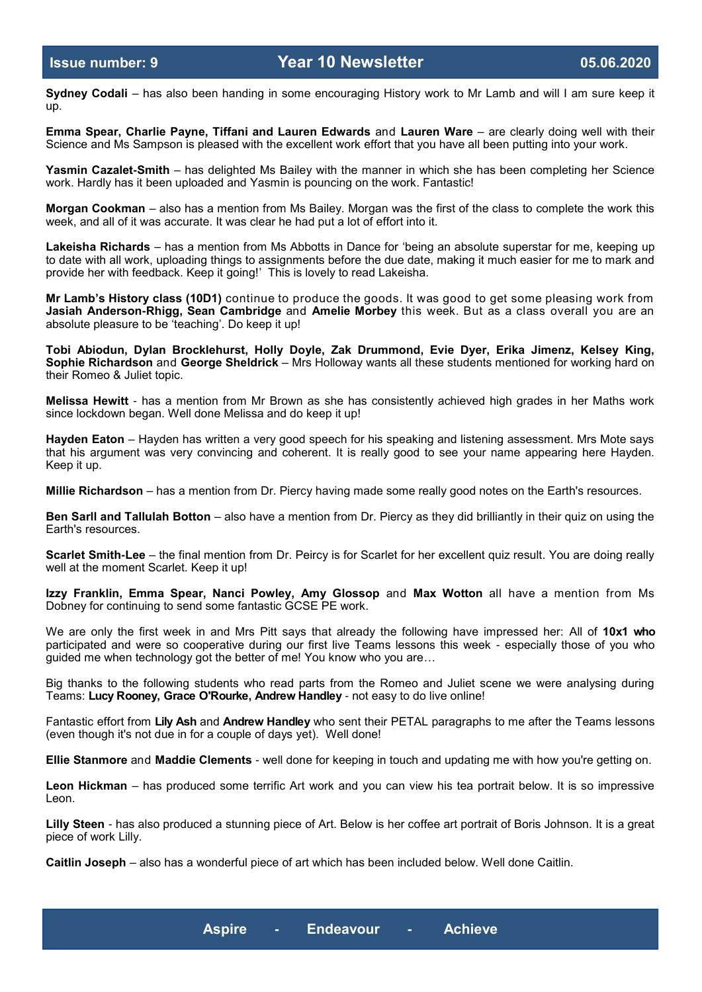**Sydney Codali** – has also been handing in some encouraging History work to Mr Lamb and will I am sure keep it up.

**Emma Spear, Charlie Payne, Tiffani and Lauren Edwards** and **Lauren Ware** – are clearly doing well with their Science and Ms Sampson is pleased with the excellent work effort that you have all been putting into your work.

**Yasmin Cazalet-Smith** – has delighted Ms Bailey with the manner in which she has been completing her Science work. Hardly has it been uploaded and Yasmin is pouncing on the work. Fantastic!

**Morgan Cookman** – also has a mention from Ms Bailey. Morgan was the first of the class to complete the work this week, and all of it was accurate. It was clear he had put a lot of effort into it.

**Lakeisha Richards** – has a mention from Ms Abbotts in Dance for 'being an absolute superstar for me, keeping up to date with all work, uploading things to assignments before the due date, making it much easier for me to mark and provide her with feedback. Keep it going!' This is lovely to read Lakeisha.

**Mr Lamb's History class (10D1)** continue to produce the goods. It was good to get some pleasing work from **Jasiah Anderson-Rhigg, Sean Cambridge** and **Amelie Morbey** this week. But as a class overall you are an absolute pleasure to be 'teaching'. Do keep it up!

**Tobi Abiodun, Dylan Brocklehurst, Holly Doyle, Zak Drummond, Evie Dyer, Erika Jimenz, Kelsey King, Sophie Richardson** and **George Sheldrick** – Mrs Holloway wants all these students mentioned for working hard on their Romeo & Juliet topic.

**Melissa Hewitt** - has a mention from Mr Brown as she has consistently achieved high grades in her Maths work since lockdown began. Well done Melissa and do keep it up!

**Hayden Eaton** – Hayden has written a very good speech for his speaking and listening assessment. Mrs Mote says that his argument was very convincing and coherent. It is really good to see your name appearing here Hayden. Keep it up.

**Millie Richardson** – has a mention from Dr. Piercy having made some really good notes on the Earth's resources.

**Ben Sarll and Tallulah Botton** – also have a mention from Dr. Piercy as they did brilliantly in their quiz on using the Earth's resources.

**Scarlet Smith-Lee** – the final mention from Dr. Peircy is for Scarlet for her excellent quiz result. You are doing really well at the moment Scarlet. Keep it up!

**Izzy Franklin, Emma Spear, Nanci Powley, Amy Glossop** and **Max Wotton** all have a mention from Ms Dobney for continuing to send some fantastic GCSE PE work.

We are only the first week in and Mrs Pitt says that already the following have impressed her: All of **10x1 who**  participated and were so cooperative during our first live Teams lessons this week - especially those of you who guided me when technology got the better of me! You know who you are…

Big thanks to the following students who read parts from the Romeo and Juliet scene we were analysing during Teams: **Lucy Rooney, Grace O'Rourke, Andrew Handley** - not easy to do live online!

Fantastic effort from **Lily Ash** and **Andrew Handley** who sent their PETAL paragraphs to me after the Teams lessons (even though it's not due in for a couple of days yet). Well done!

**Ellie Stanmore** and **Maddie Clements** - well done for keeping in touch and updating me with how you're getting on.

**Leon Hickman** – has produced some terrific Art work and you can view his tea portrait below. It is so impressive Leon.

**Lilly Steen** - has also produced a stunning piece of Art. Below is her coffee art portrait of Boris Johnson. It is a great piece of work Lilly.

**Caitlin Joseph** – also has a wonderful piece of art which has been included below. Well done Caitlin.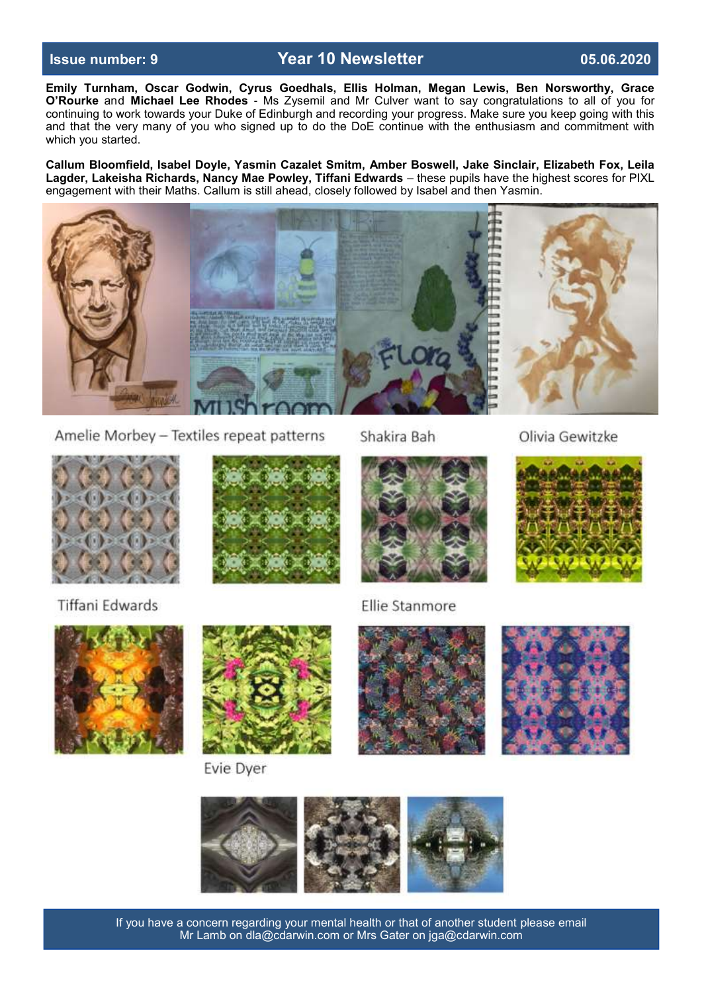# **Issue number: 9 Year 10 Newsletter 05.06.2020**

**Emily Turnham, Oscar Godwin, Cyrus Goedhals, Ellis Holman, Megan Lewis, Ben Norsworthy, Grace O'Rourke** and **Michael Lee Rhodes** - Ms Zysemil and Mr Culver want to say congratulations to all of you for continuing to work towards your Duke of Edinburgh and recording your progress. Make sure you keep going with this and that the very many of you who signed up to do the DoE continue with the enthusiasm and commitment with which you started.

**Callum Bloomfield, Isabel Doyle, Yasmin Cazalet Smitm, Amber Boswell, Jake Sinclair, Elizabeth Fox, Leila Lagder, Lakeisha Richards, Nancy Mae Powley, Tiffani Edwards** – these pupils have the highest scores for PIXL engagement with their Maths. Callum is still ahead, closely followed by Isabel and then Yasmin.



Amelie Morbey - Textiles repeat patterns

Shakira Bah

Olivia Gewitzke



**Tiffani Edwards** 





Evie Dyer









If you have a concern regarding your mental health or that of another student please email Mr Lamb on dla@cdarwin.com or Mrs Gater on jga@cdarwin.com